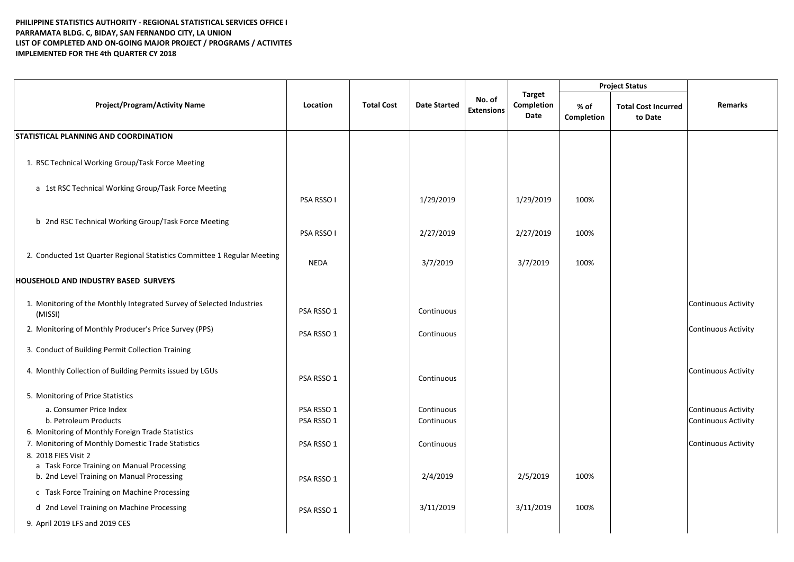## **PHILIPPINE STATISTICS AUTHORITY - REGIONAL STATISTICAL SERVICES OFFICE I PARRAMATA BLDG. C, BIDAY, SAN FERNANDO CITY, LA UNION LIST OF COMPLETED AND ON-GOING MAJOR PROJECT / PROGRAMS / ACTIVITES IMPLEMENTED FOR THE 4th QUARTER CY 2018**

| <b>Project/Program/Activity Name</b>                                             | Location    | <b>Total Cost</b> | <b>Date Started</b> | No. of<br><b>Extensions</b> | <b>Target</b><br>Completion<br>Date | <b>Project Status</b> |                                       |                            |
|----------------------------------------------------------------------------------|-------------|-------------------|---------------------|-----------------------------|-------------------------------------|-----------------------|---------------------------------------|----------------------------|
|                                                                                  |             |                   |                     |                             |                                     | % of<br>Completion    | <b>Total Cost Incurred</b><br>to Date | <b>Remarks</b>             |
| <b>STATISTICAL PLANNING AND COORDINATION</b>                                     |             |                   |                     |                             |                                     |                       |                                       |                            |
| 1. RSC Technical Working Group/Task Force Meeting                                |             |                   |                     |                             |                                     |                       |                                       |                            |
| a 1st RSC Technical Working Group/Task Force Meeting                             | PSA RSSO I  |                   | 1/29/2019           |                             | 1/29/2019                           | 100%                  |                                       |                            |
| b 2nd RSC Technical Working Group/Task Force Meeting                             | PSA RSSO I  |                   | 2/27/2019           |                             | 2/27/2019                           | 100%                  |                                       |                            |
| 2. Conducted 1st Quarter Regional Statistics Committee 1 Regular Meeting         | <b>NEDA</b> |                   | 3/7/2019            |                             | 3/7/2019                            | 100%                  |                                       |                            |
| <b>HOUSEHOLD AND INDUSTRY BASED SURVEYS</b>                                      |             |                   |                     |                             |                                     |                       |                                       |                            |
| 1. Monitoring of the Monthly Integrated Survey of Selected Industries<br>(MISSI) | PSA RSSO 1  |                   | Continuous          |                             |                                     |                       |                                       | <b>Continuous Activity</b> |
| 2. Monitoring of Monthly Producer's Price Survey (PPS)                           | PSA RSSO 1  |                   | Continuous          |                             |                                     |                       |                                       | <b>Continuous Activity</b> |
| 3. Conduct of Building Permit Collection Training                                |             |                   |                     |                             |                                     |                       |                                       |                            |
| 4. Monthly Collection of Building Permits issued by LGUs                         | PSA RSSO 1  |                   | Continuous          |                             |                                     |                       |                                       | Continuous Activity        |
| 5. Monitoring of Price Statistics                                                |             |                   |                     |                             |                                     |                       |                                       |                            |
| a. Consumer Price Index                                                          | PSA RSSO 1  |                   | Continuous          |                             |                                     |                       |                                       | <b>Continuous Activity</b> |
| b. Petroleum Products                                                            | PSA RSSO 1  |                   | Continuous          |                             |                                     |                       |                                       | Continuous Activity        |
| 6. Monitoring of Monthly Foreign Trade Statistics                                |             |                   |                     |                             |                                     |                       |                                       |                            |
| 7. Monitoring of Monthly Domestic Trade Statistics                               | PSA RSSO 1  |                   | Continuous          |                             |                                     |                       |                                       | <b>Continuous Activity</b> |
| 8. 2018 FIES Visit 2<br>a Task Force Training on Manual Processing               |             |                   |                     |                             |                                     |                       |                                       |                            |
| b. 2nd Level Training on Manual Processing                                       | PSA RSSO 1  |                   | 2/4/2019            |                             | 2/5/2019                            | 100%                  |                                       |                            |
| c Task Force Training on Machine Processing                                      |             |                   |                     |                             |                                     |                       |                                       |                            |
| d 2nd Level Training on Machine Processing                                       | PSA RSSO 1  |                   | 3/11/2019           |                             | 3/11/2019                           | 100%                  |                                       |                            |
| 9. April 2019 LFS and 2019 CES                                                   |             |                   |                     |                             |                                     |                       |                                       |                            |
|                                                                                  |             |                   |                     |                             |                                     |                       |                                       |                            |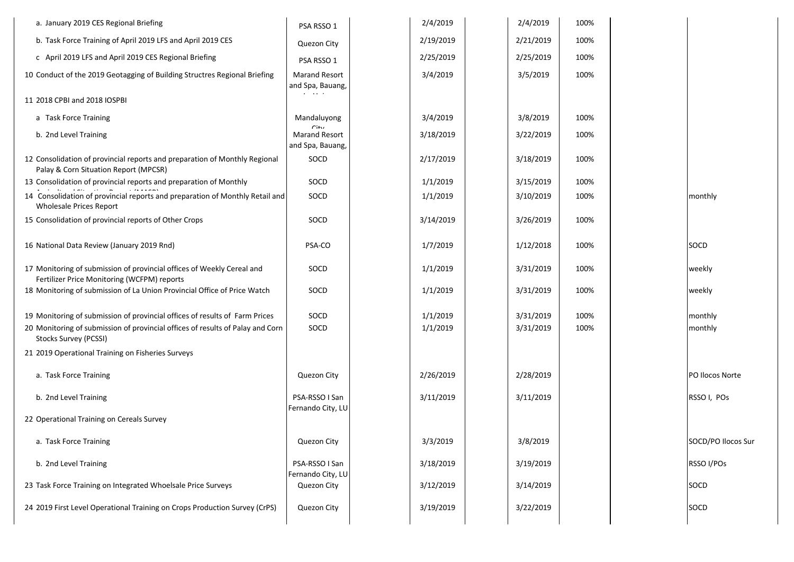| a. January 2019 CES Regional Briefing                                                                                 | PSA RSSO 1                                                   | 2/4/2019  | 2/4/2019  | 100% |                    |
|-----------------------------------------------------------------------------------------------------------------------|--------------------------------------------------------------|-----------|-----------|------|--------------------|
| b. Task Force Training of April 2019 LFS and April 2019 CES                                                           | Quezon City                                                  | 2/19/2019 | 2/21/2019 | 100% |                    |
| c April 2019 LFS and April 2019 CES Regional Briefing                                                                 | PSA RSSO 1                                                   | 2/25/2019 | 2/25/2019 | 100% |                    |
| 10 Conduct of the 2019 Geotagging of Building Structres Regional Briefing                                             | <b>Marand Resort</b><br>and Spa, Bauang,                     | 3/4/2019  | 3/5/2019  | 100% |                    |
| 11 2018 CPBI and 2018 IOSPBI                                                                                          | .                                                            |           |           |      |                    |
| a Task Force Training                                                                                                 | Mandaluyong                                                  | 3/4/2019  | 3/8/2019  | 100% |                    |
| b. 2nd Level Training                                                                                                 | C <sub>int</sub><br><b>Marand Resort</b><br>and Spa, Bauang, | 3/18/2019 | 3/22/2019 | 100% |                    |
| 12 Consolidation of provincial reports and preparation of Monthly Regional<br>Palay & Corn Situation Report (MPCSR)   | SOCD                                                         | 2/17/2019 | 3/18/2019 | 100% |                    |
| 13 Consolidation of provincial reports and preparation of Monthly                                                     | SOCD                                                         | 1/1/2019  | 3/15/2019 | 100% |                    |
| 14 Consolidation of provincial reports and preparation of Monthly Retail and<br><b>Wholesale Prices Report</b>        | SOCD                                                         | 1/1/2019  | 3/10/2019 | 100% | monthly            |
| 15 Consolidation of provincial reports of Other Crops                                                                 | SOCD                                                         | 3/14/2019 | 3/26/2019 | 100% |                    |
| 16 National Data Review (January 2019 Rnd)                                                                            | PSA-CO                                                       | 1/7/2019  | 1/12/2018 | 100% | SOCD               |
| 17 Monitoring of submission of provincial offices of Weekly Cereal and<br>Fertilizer Price Monitoring (WCFPM) reports | SOCD                                                         | 1/1/2019  | 3/31/2019 | 100% | weekly             |
| 18 Monitoring of submission of La Union Provincial Office of Price Watch                                              | SOCD                                                         | 1/1/2019  | 3/31/2019 | 100% | weekly             |
| 19 Monitoring of submission of provincial offices of results of Farm Prices                                           | SOCD                                                         | 1/1/2019  | 3/31/2019 | 100% | monthly            |
| 20 Monitoring of submission of provincial offices of results of Palay and Corn<br>Stocks Survey (PCSSI)               | SOCD                                                         | 1/1/2019  | 3/31/2019 | 100% | monthly            |
| 21 2019 Operational Training on Fisheries Surveys                                                                     |                                                              |           |           |      |                    |
| a. Task Force Training                                                                                                | Quezon City                                                  | 2/26/2019 | 2/28/2019 |      | PO Ilocos Norte    |
| b. 2nd Level Training                                                                                                 | PSA-RSSO I San<br>Fernando City, LU                          | 3/11/2019 | 3/11/2019 |      | RSSO I, POs        |
| 22 Operational Training on Cereals Survey                                                                             |                                                              |           |           |      |                    |
| a. Task Force Training                                                                                                | Quezon City                                                  | 3/3/2019  | 3/8/2019  |      | SOCD/PO Ilocos Sur |
| b. 2nd Level Training                                                                                                 | PSA-RSSO I San<br>Fernando City, LU                          | 3/18/2019 | 3/19/2019 |      | RSSO I/POs         |
| 23 Task Force Training on Integrated Whoelsale Price Surveys                                                          | Quezon City                                                  | 3/12/2019 | 3/14/2019 |      | SOCD               |
| 24 2019 First Level Operational Training on Crops Production Survey (CrPS)                                            | Quezon City                                                  | 3/19/2019 | 3/22/2019 |      | SOCD               |
|                                                                                                                       |                                                              |           |           |      |                    |